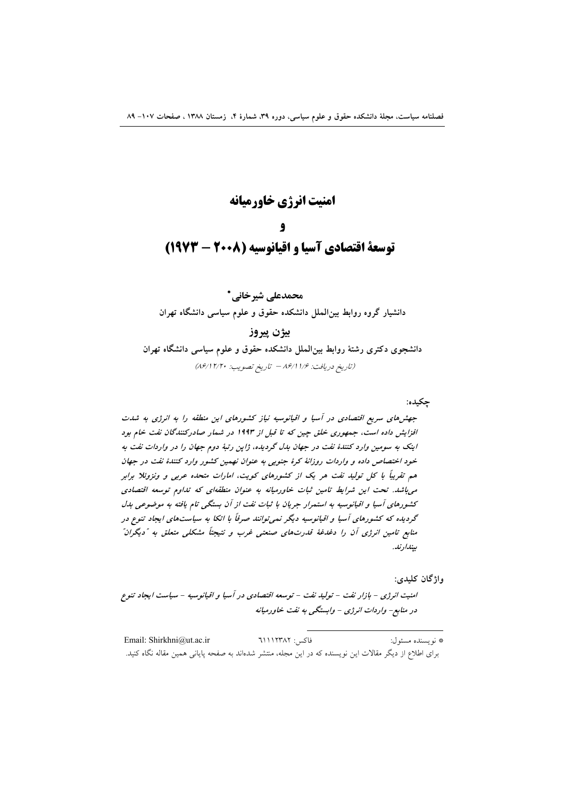# امنيت انرژي خاورميانه توسعة اقتصادي آسيا و اقيانوسيه (٢٠٠٨ - ١٩٧٣)

محمدعلی شیرخانی \* دانشیار گروه روابط بین الملل دانشکده حقوق و علوم سیاسی دانشگاه تهران بيژن پيروز دانشجوی دکتری رشتهٔ روابط بینالملل دانشکده حقوق و علوم سیاسی دانشگاه تهران

(تاريخ دريافت: ۱/۶/ ۸۶/۱۱/۶ - تاريخ تصويب: ۸۶/۱۲/۲۰)

### چکیده:

جهشهای سریع اقتصادی در آسیا و اقیانوسیه نیاز کشورهای این منطقه را به انرژی به شدت افزایش داده است، جمهوری خلق چین که تا قبل از ۱۹۹۳ در شمار صادرکنندگان نفت خام بود اینک به سومین وارد کنندهٔ نفت در جهان بدل گردیده، ژاپن رتبهٔ دوم جهان را در واردات نفت به خود اختصاص داده و واردات روزانهٔ کرهٔ جنوبی به عنوان نهمین کشور وارد کنندهٔ نفت در جهان هم تقریباً با کل تولید نفت هر یک از کشورهای کویت، امارات متحده عربی و ونزوئلا برابر می باشد. تحت این شرایط تامین ثبات خاورمیانه به عنوان منطقهای که تداوم توسعه اقتصادی کشورهای آسیا و اقیانوسیه به استمرار جریان با ثبات نفت از آن بستگی تام یافته به موضوعی بدل گردیده که کشورهای آسیا و اقیانوسیه دیگر نمی توانند صرفاً با اتکا به سیاستهای ایجاد تنوع در منابع تامین انرژی آن را دغدغهٔ قدرتهای صنعتی غرب و نتیجتاً مشکلی متعلق به "دیگران" ىيندار نىد.

#### واژگان کليدي:

امنیت انرژی - بازار نفت - تولید نفت - توسعه اقتصادی در آسیا و اقیانوسیه - سیاست ایجاد تنوع در منابع- واردات انرژی - وابستگی به نفت خاورمیانه

فاكس: ٦١١٢٣٨٢ Email: Shirkhni@ut.ac.ir \* نويسنده مسئول: برای اطلاع از دیگر مقالات این نویسنده که در این مجله، منتشر شدهاند به صفحه پایانی همین مقاله نگاه کنید.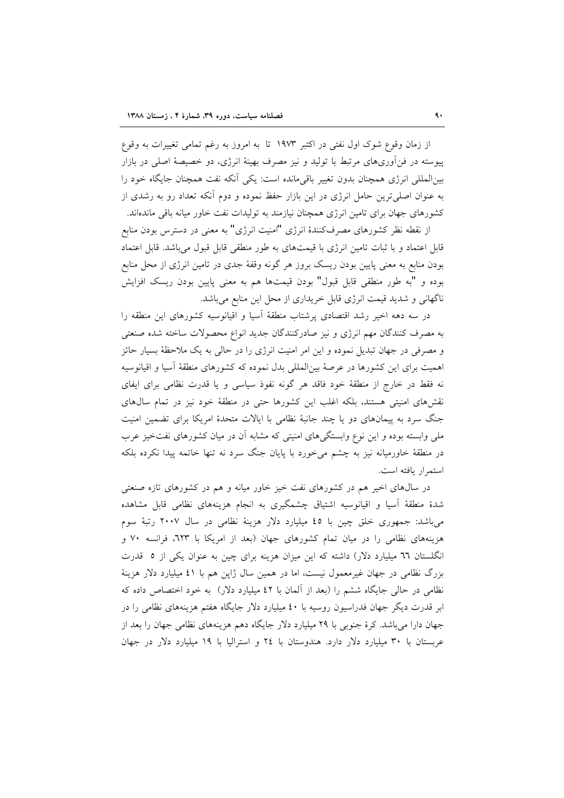از زمان وقوع شوک اول نفتی در اکتبر ۱۹۷۳ تا به امروز به رغم تمامی تغییرات به وقوع پیوسته در فن[وریهای مرتبط با تولید و نیز مصرف بهینهٔ انرژی، دو خصیصهٔ اصلی در بازار بینالمللی انرژی همچنان بدون تغییر باقیمانده است: یکی آنکه نفت همچنان جایگاه خود را به عنوان اصلی ترین حامل انرژی در این بازار حفظ نموده و دوم آنکه تعداد رو به رشدی از کشورهای جهان برای تامین انرژی همچنان نیازمند به تولیدات نفت خاور میانه باقی ماندهاند.

از نقطه نظر کشورهای مصرفکنندهٔ انرژی "امنیت انرژی" به معنی در دسترس بودن منابع قابل اعتماد و با ثبات تامین انرژی با قیمتهای به طور منطقی قابل قبول می باشد. قابل اعتماد بودن منابع به معنی پایین بودن ریسک بروز هر گونه وقفهٔ جدی در تامین انرژی از محل منابع بوده و "به طور منطقی قابل قبول" بودن قیمتها هم به معنی پایین بودن ریسک افزایش ناگهانی و شدید قیمت انرژی قابل خریداری از محل این منابع می باشد.

در سه دهه اخیر رشد اقتصادی پرشتاب منطقهٔ آسیا و اقیانوسیه کشورهای این منطقه را به مصرف کنندگان مهم انرژی و نیز صادرکنندگان جدید انواع محصولات ساخته شده صنعتی و مصرفی در جهان تبدیل نموده و این امر امنیت انرژی را در حالی به یک ملاحظهٔ بسیار حائز اهمیت برای این کشورها در عرصهٔ بینالمللی بدل نموده که کشورهای منطقهٔ اسیا و اقیانوسیه نه فقط در خارج از منطقهٔ خود فاقد هر گونه نفوذ سیاسی و یا قدرت نظامی برای ایفای نقشرهای امنیتی هستند، بلکه اغلب این کشورها حتی در منطقهٔ خود نیز در تمام سالهای جنگ سرد به پیمانهای دو یا چند جانبهٔ نظامی با ایالات متحدهٔ امریکا برای تضمین امنیت ملی وابسته بوده و این نوع وابستگیهای امنیتی که مشابه آن در میان کشورهای نفتخیز عرب در منطقهٔ خاورمیانه نیز به چشم می خورد با پایان جنگ سرد نه تنها خاتمه پیدا نکرده بلکه استمرار يافته است.

در سال@ای اخیر هم در کشورهای نفت خیز خاور میانه و هم در کشورهای تازه صنعتی شدهٔ منطقهٔ آسیا و اقیانوسیه اشتیاق چشمگیری به انجام هزینههای نظامی قابل مشاهده میباشد: جمهوری خلق چین با ٤٥ میلیارد دلار هزینهٔ نظامی در سال ۲۰۰۷ رتبهٔ سوم هزینههای نظامی را در میان تمام کشورهای جهان (بعد از امریکا با ٦٢٣، فرانسه ٧٠ و انگلستان ٦٦ میلیارد دلار) داشته که این میزان هزینه برای چین به عنوان یکی از ٥ قدرت بزرگ نظامی در جهان غیرمعمول نیست، اما در همین سال ژاپن هم با ٤١ میلیارد دلار هزینهٔ نظامی در حالی جایگاه ششم را (بعد از آلمان با ٤٢ میلیارد دلار) به خود اختصاص داده که ابر قدرت دیگر جهان فدراسیون روسیه با ٤٠ میلیارد دلار جایگاه هفتم هزینههای نظامی را در جهان دارا میباشد. کرهٔ جنوبی با ۲۹ میلیارد دلار جایگاه دهم هزینههای نظامی جهان را بعد از عربستان با ۳۰ میلیارد دلار دارد. هندوستان با ۲٤ و استرالیا با ۱۹ میلیارد دلار در جهان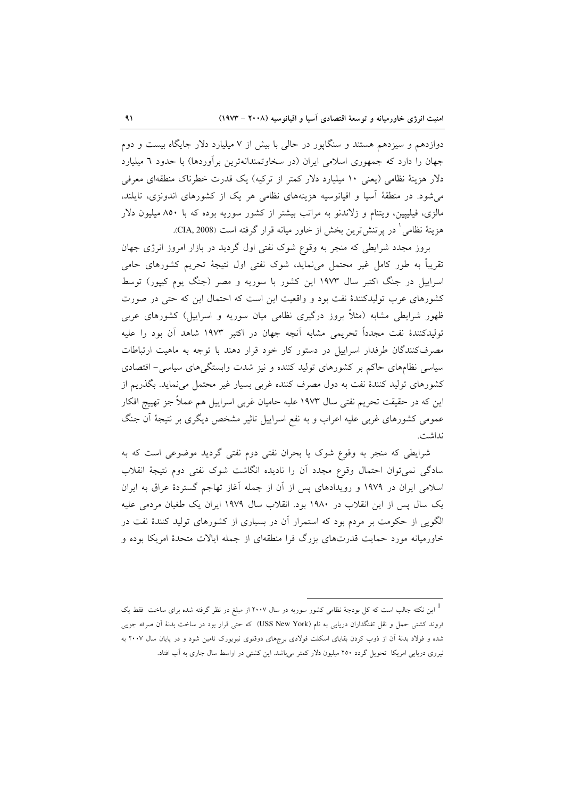دوازدهم و سیزدهم هستند و سنگاپور در حالی با بیش از ۷ میلیارد دلار جایگاه بیست و دوم جهان را دارد که جمهوری اسلامی ایران (در سخاوتمندانهترین برآوردها) با حدود ٦ میلیارد دلار هزینهٔ نظامی (یعنی ۱۰ میلیارد دلار کمتر از ترکیه) یک قدرت خطرناک منطقهای معرفی می شود. در منطقهٔ آسیا و اقیانوسیه هزینههای نظامی هر یک از کشورهای اندونزی، تایلند، مالزی، فیلیپین، ویتنام و زلاندنو به مراتب بیشتر از کشور سوریه بوده که با ۸۵۰ میلیون دلار هزينهٔ نظامي ٰ در پرتنشترين بخش از خاور ميانه قرار گرفته است (CIA, 2008).

بروز مجدد شرایطی که منجر به وقوع شوک نفتی اول گردید در بازار امروز انرژی جهان تقریباً به طور کامل غیر محتمل می،نماید، شوک نفتی اول نتیجهٔ تحریم کشورهای حامی اسراییل در جنگ اکتبر سال ۱۹۷۳ این کشور با سوریه و مصر (جنگ یوم کیپور) توسط کشورهای عرب تولیدکنندهٔ نفت بود و واقعیت این است که احتمال این که حتبی در صورت ظهور شرایطی مشابه (مثلاً بروز درگیری نظامی میان سوریه و اسراییل) کشورهای عربی تولیدکنندهٔ نفت مجدداً تحریمی مشابه آنچه جهان در اکتبر ۱۹۷۳ شاهد آن بود را علیه مصرفکنندگان طرفدار اسراییل در دستور کار خود قرار دهند با توجه به ماهیت ارتباطات سیاسی نظامهای حاکم بر کشورهای تولید کننده و نیز شدت وابستگیهای سیاسی– اقتصادی كشورهاى توليد كنندهٔ نفت به دول مصرف كننده غربى بسيار غير محتمل مى نمايد. بگذريم از این که در حقیقت تحریم نفتی سال ۱۹۷۳ علیه حامیان غربی اسراییل هم عملاً جز تهییج افکار عمومی کشورهای غربی علیه اعراب و به نفع اسراییل تاثیر مشخص دیگری بر نتیجهٔ آن جنگ نداشت.

شرایطی که منجر به وقوع شوک یا بحران نفتی دوم نفتی گردید موضوعی است که به سادگی نمی توان احتمال وقوع مجدد أن را نادیده انگاشت شوک نفتی دوم نتیجهٔ انقلاب اسلامی ایران در ۱۹۷۹ و رویدادهای پس از آن از جمله آغاز تهاجم گستردهٔ عراق به ایران یک سال پس از این انقلاب در ۱۹۸۰ بود. انقلاب سال ۱۹۷۹ ایران یک طغیان مردمی علیه الگویی از حکومت بر مردم بود که استمرار آن در بسیاری از کشورهای تولید کنندهٔ نفت در خاورمیانه مورد حمایت قدرتهای بزرگ فرا منطقهای از جمله ایالات متحدهٔ امریکا بوده و

این نکته جالب است که کل بودجهٔ نظامی کشور سوریه در سال ۲۰۰۷ از مبلغ در نظر گرفته شده برای ساخت ًفقط یک  $^{-1}$ فروند کشتی حمل و نقل تفنگداران دریایی به نام (USS New York) که حتی قرار بود در ساخت بدنهٔ آن صرفه جویی شده و فولاد بدنهٔ آن از ذوب کردن بقایای اسکلت فولادی برجهای دوقلوی نیویورک تامین شود و در پایان سال ۲۰۰۷ به نیروی دریایی امریکا تحویل گردد ۲۵۰ میلیون دلار کمتر میباشد. این کشتی در اواسط سال جاری به آب افتاد.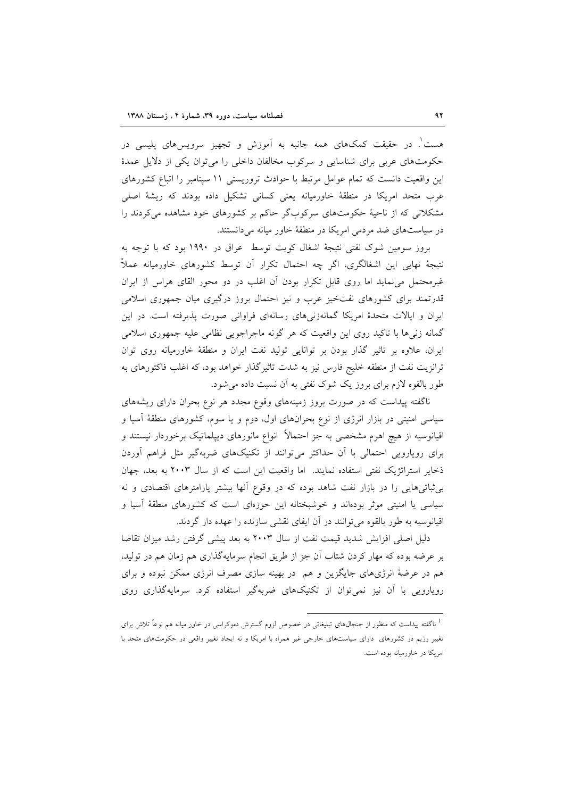هست'. در حقیقت کمکهای همه جانبه به اَموزش و تجهیز سرویسهای پلیسی در حکومتهای عربی برای شناسایی و سرکوب مخالفان داخلی را می توان یکی از دلایل عمدهٔ این واقعیت دانست که تمام عوامل مرتبط با حوادث تروریستی ١١ سپتامبر را اتباع کشورهای عرب متحد امریکا در منطقهٔ خاورمیانه یعنی کسانی تشکیل داده بودند که ریشهٔ اصلی مشکلاتی که از ناحیهٔ حکومتهای سرکوبگر حاکم بر کشورهای خود مشاهده میکردند را در سیاستهای ضد مردمی امریکا در منطقهٔ خاور میانه میدانستند.

بروز سومین شوک نفتی نتیجهٔ اشغال کویت توسط عراق در ۱۹۹۰ بود که با توجه به نتيجهٔ نهايي اين اشغالگري، اگر چه احتمال تكرار آن توسط كشورهاي خاورميانه عملاً غیرمحتمل می نماید اما روی قابل تکرار بودن آن اغلب در دو محور القای هراس از ایران قدرتمند برای کشورهای نفتخیز عرب و نیز احتمال بروز درگیری میان جمهوری اسلامی ایران و ایالات متحدهٔ امریکا گمانهزنی های رسانهای فراوانی صورت پذیرفته است. در این گمانه زنر ها با تاکید روی این واقعیت که هر گونه ماجراجویی نظامی علیه جمهوری اسلامی ایران، علاوه بر تاثیر گذار بودن بر توانایی تولید نفت ایران و منطقهٔ خاورمیانه روی توان ترانزیت نفت از منطقه خلیج فارس نیز به شدت تاثیرگذار خواهد بود، که اغلب فاکتورهای به طور بالقوه لازم برای بروز یک شوک نفتی به آن نسبت داده می شود.

ناگفته پیداست که در صورت بروز زمینههای وقوع مجدد هر نوع بحران دارای ریشههای سیاسی امنیتی در بازار انرژی از نوع بحرانهای اول، دوم و یا سوم، کشورهای منطقهٔ اسیا و اقیانوسیه از هیچ اهرم مشخصی به جز احتمالاً انواع مانورهای دیپلماتیک برخوردار نیستند و برای رویارویی احتمالی با آن حداکثر میتوانند از تکنیکهای ضربهگیر مثل فراهم آوردن ذخایر استراتژیک نفتی استفاده نمایند. اما واقعیت این است که از سال ۲۰۰۳ به بعد، جهان بی ثباتی هایی را در بازار نفت شاهد بوده که در وقوع آنها بیشتر پارامترهای اقتصادی و نه سیاسی یا امنیتی موثر بودهاند و خوشبختانه این حوزهای است که کشورهای منطقهٔ آسیا و اقیانوسیه به طور بالقوه می توانند در آن ایفای نقشی سازنده را عهده دار گردند.

دلیل اصلی افزایش شدید قیمت نفت از سال ۲۰۰۳ به بعد پیشی گرفتن رشد میزان تقاضا بر عرضه بوده که مهار کردن شتاب آن جز از طریق انجام سرمایهگذاری هم زمان هم در تولید. هم در عرضهٔ انرژیهای جایگزین و هم در بهینه سازی مصرف انرژی ممکن نبوده و برای رویارویی با آن نیز نمی توان از تکنیکهای ضربهگیر استفاده کرد. سرمایهگذاری روی

<sup>&</sup>lt;sup>1</sup> ناگفته پیداست که منظور از جنجال۵ای تبلیغاتی در خصوص لزوم گسترش دموکراسی در خاور میانه هم نوعاً تلاش برای تغییر رژیم در کشورهای دارای سیاستهای خارجی غیر همراه با امریکا و نه ایجاد تغییر واقعی در حکومتهای متحد با امریکا در خاورمیانه بوده است.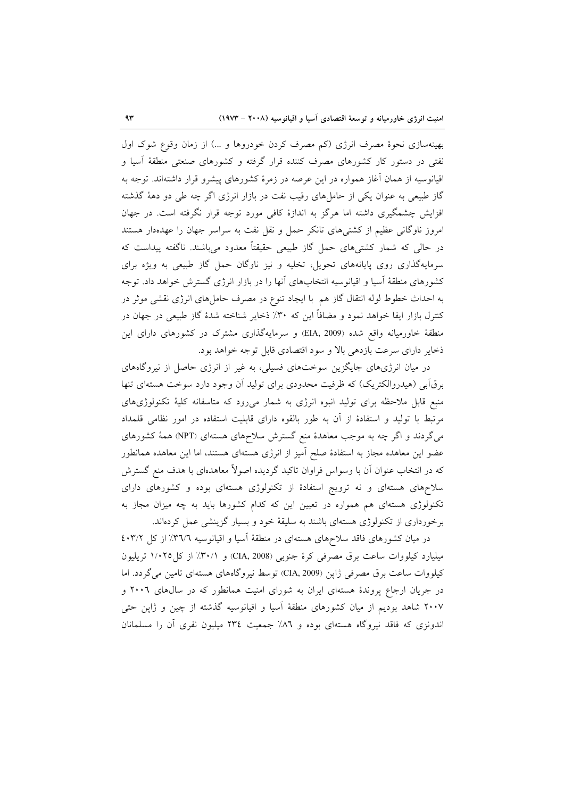بهینهسازی نحوهٔ مصرف انرژی (کم مصرف کردن خودروها و …) از زمان وقوع شوک اول نفتی در دستور کار کشورهای مصرف کننده قرار گرفته و کشورهای صنعتی منطقهٔ اسیا و اقیانوسیه از همان أغاز همواره در این عرصه در زمرهٔ کشورهای پیشرو قرار داشتهاند. توجه به گاز طبیعی به عنوان یکی از حاملهای رقیب نفت در بازار انرژی اگر چه طی دو دههٔ گذشته افزایش چشمگیری داشته اما هرگز به اندازهٔ کافی مورد توجه قرار نگرفته است. در جهان امروز ناوگانی عظیم از کشتیهای تانکر حمل و نقل نفت به سراسر جهان را عهدهدار هستند در حالی که شمار کشتیهای حمل گاز طبیعی حقیقتاً معدود میباشند. ناگفته پیداست که سرمایهگذاری روی پایانههای تحویل، تخلیه و نیز ناوگان حمل گاز طبیعی به ویژه برای کشورهای منطقهٔ اسیا و اقیانوسیه انتخابهای انها را در بازار انرژی گسترش خواهد داد. توجه به احداث خطوط لوله انتقال گاز هم با ایجاد تنوع در مصرف حاملهای انرژی نقشی موثر در کنترل بازار ایفا خواهد نمود و مضافاً این که ۳۰٪ ذخایر شناخته شدهٔ گاز طبیعی در جهان در منطقهٔ خاورمیانه واقع شده (EIA, 2009) و سرمایهگذاری مشترک در کشورهای دارای این ذخایر دارای سرعت بازدهی بالا و سود اقتصادی قابل توجه خواهد بود.

در میان انرژیهای جایگزین سوختهای فسیلی، به غیر از انرژی حاصل از نیروگاههای برق ابی (هیدروالکتریک) که ظرفیت محدودی برای تولید ان وجود دارد سوخت هستهای تنها منبع قابل ملاحظه برای تولید انبوه انرژی به شمار میرود که متاسفانه کلیهٔ تکنولوژیهای مرتبط با تولید و استفادهٔ از آن به طور بالقوه دارای قابلیت استفاده در امور نظامی قلمداد میگردند و اگر چه به موجب معاهدهٔ منع گسترش سلاحهای هستهای (NPT) همهٔ کشورهای عضو این معاهده مجاز به استفادهٔ صلح آمیز از انرژی هستهای هستند، اما این معاهده همانطور که در انتخاب عنوان آن با وسواس فراوان تاکید گردیده اصولاً معاهدهای با هدف منع گسترش سلاحهای هستهای و نه ترویج استفادهٔ از تکنولوژی هستهای بوده و کشورهای دارای تکنولوژی هستهای هم همواره در تعیین این که کدام کشورها باید به چه میزان مجاز به برخورداری از تکنولوژی هستهای باشند به سلیقهٔ خود و بسیار گزینشی عمل کردهاند.

در میان کشورهای فاقد سلاحهای هستهای در منطقهٔ آسیا و اقیانوسیه ۳۱/۲٪ از کل ۴۰۳/۲ میلیارد کیلووات ساعت برق مصرفی کرهٔ جنوبی (CIA, 2008) و ۳۰/۱٪ از کل۱/۰۲۵ تریلیون كيلووات ساعت برق مصرفي ژاپن (CIA, 2009) توسط نيروگاههاي هستهاي تامين مي گردد. اما در جریان ارجاع پروندهٔ هستهای ایران به شورای امنیت همانطور که در سالهای ۲۰۰٦ و ۲۰۰۷ شاهد بودیم از میان کشورهای منطقهٔ اَسیا و اقیانوسیه گذشته از چین و ژاپن حتبی اندونزی که فاقد نیروگاه هستهای بوده و ۸٦٪ جمعیت ٢٣٤ میلیون نفری أن را مسلمانان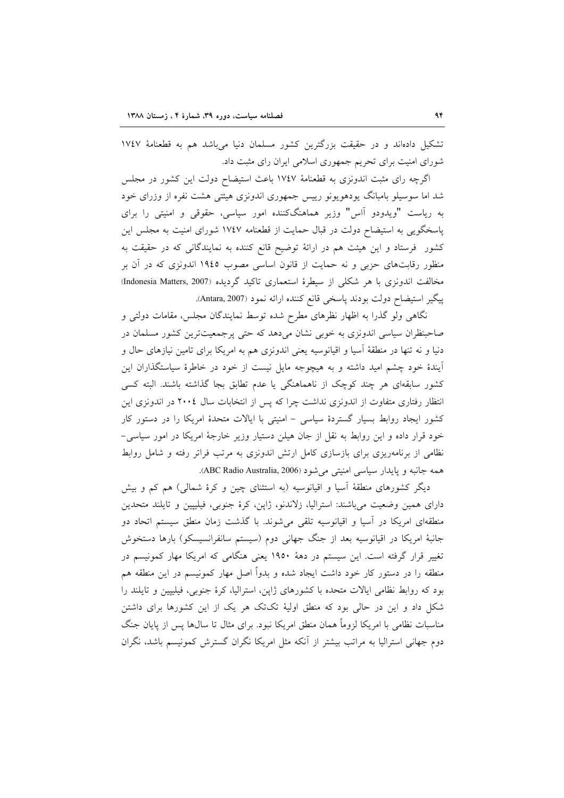تشکیل دادهاند و در حقیقت بزرگترین کشور مسلمان دنیا میباشد هم به قطعنامهٔ ۱۷٤۷ شورای امنیت برای تحریم جمهوری اسلامی ایران رای مثبت داد.

اگرچه رای مثبت اندونزی به قطعنامهٔ ۱۷٤۷ باعث استیضاح دولت این کشور در مجلس شد اما سوسیلو بامبانگ یودهویونو رییس جمهوری اندونزی هیئتی هشت نفره از وزرای خود به ریاست "ویدودو آاس" وزیر هماهنگکننده امور سیاسی، حقوقی و امنیتی را برای پاسخگویی به استیضاح دولت در قبال حمایت از قطعنامه ۱۷٤۷ شورای امنیت به مجلس این کشور فرستاد و این هیئت هم در ارائهٔ توضیح قانع کننده به نمایندگانی که در حقیقت به منظور رقابتهای حزبی و نه حمایت از قانون اساسی مصوب ۱۹٤٥ اندونزی که در آن بر مخالفت اندونزی با هر شکلی از سیطرهٔ استعماری تاکید گردیده (Indonesia Matters, 2007) پیگیر استیضاح دولت بودند پاسخی قانع کننده ارائه نمود (Antara, 2007).

نگاهی ولو گذرا به اظهار نظرهای مطرح شده توسط نمایندگان مجلس، مقامات دولتی و صاحبنظران سیاسی اندونزی به خوبی نشان میدهد که حتی پرجمعیتترین کشور مسلمان در دنیا و نه تنها در منطقهٔ آسیا و اقیانوسیه یعنی اندونزی هم به امریکا برای تامین نیازهای حال و آیندهٔ خود چشم امید داشته و به هیچوجه مایل نیست از خود در خاطرهٔ سیاستگذاران این کشور سابقهای هر چند کوچک از ناهماهنگی یا عدم تطابق بجا گذاشته باشند. البته کسی انتظار رفتاری متفاوت از اندونزی نداشت چرا که پس از انتخابات سال ۲۰۰۶ در اندونزی این کشور ایجاد روابط بسیار گستردهٔ سیاسی - امنیتی با ایالات متحدهٔ امریکا را در دستور کار خود قرار داده و این روابط به نقل از جان هیلن دستیار وزیر خارجهٔ امریکا در امور سیاسی-نظامی از برنامهریزی برای بازسازی کامل ارتش اندونزی به مرتب فراتر رفته و شامل روابط همه جانبه و پایدار سیاسی امنیتی می شود (ABC Radio Australia, 2006).

دیگر کشورهای منطقهٔ اسیا و اقیانوسیه (به استثنای چین و کرهٔ شمالی) هم کم و بیش دارای همین وضعیت میباشند: استرالیا، زلاندنو، ژاپن، کرهٔ جنوبی، فیلیپین و تایلند متحدین منطقهای امریکا در آسیا و اقیانوسیه تلقی میشوند. با گذشت زمان منطق سیستم اتحاد دو جانبهٔ امریکا در اقیانوسیه بعد از جنگ جهانی دوم (سیستم سانفرانسیسکو) بارها دستخوش تغییر قرار گرفته است. این سیستم در دههٔ ۱۹۵۰ یعنی هنگامی که امریکا مهار کمونیسم در منطقه را در دستور کار خود داشت ایجاد شده و بدواً اصل مهار کمونیسم در این منطقه هم بود که روابط نظامی ایالات متحده با کشورهای ژاپن، استرالیا، کرهٔ جنوبی، فیلیپین و تایلند را شکل داد و این در حالی بود که منطق اولیهٔ تکتک هر یک از این کشورها برای داشتن مناسبات نظامی با امریکا لزوماً همان منطق امریکا نبود. برای مثال تا سال@ا پس از پایان جنگ دوم جهانی استرالیا به مراتب بیشتر از آنکه مثل امریکا نگران گسترش کمونیسم باشد، نگران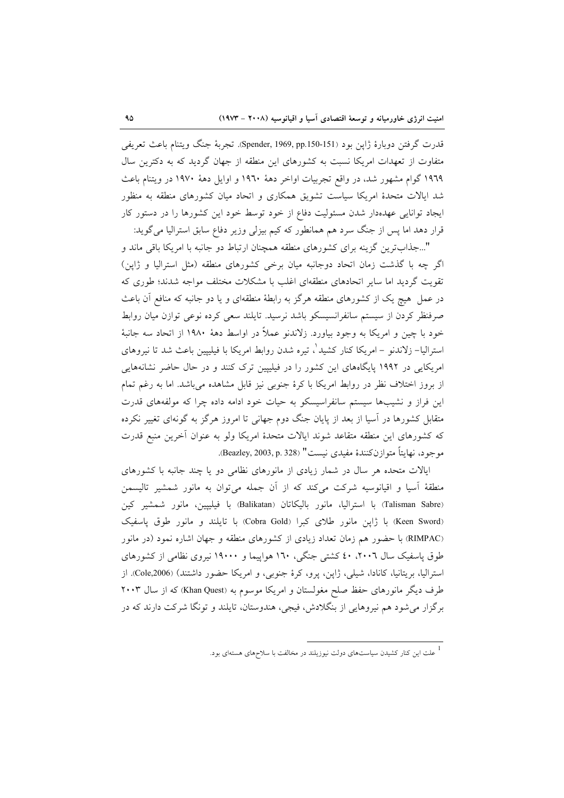قدرت گرفتن دوبارهٔ ژاپن بود (Spender, 1969, pp.150-151). تجربهٔ جنگ ویتنام باعث تعریفی متفاوت از تعهدات امریکا نسبت به کشورهای این منطقه از جهان گردید که به دکترین سال ۱۹٦۹ گوام مشهور شد، در واقع تجربیات اواخر دههٔ ۱۹٦۰ و اوایل دههٔ ۱۹۷۰ در ویتنام باعث شد ایالات متحدهٔ امریکا سیاست تشویق همکاری و اتحاد میان کشورهای منطقه به منظور ایجاد توانایی عهدهدار شدن مسئولیت دفاع از خود توسط خود این کشورها را در دستور کار قرار دهد اما پس از جنگ سرد هم همانطور که کیم بیزلی وزیر دفاع سابق استرالیا میگوید:

"...جذابترین گزینه برای کشورهای منطقه همچنان ارتباط دو جانبه با امریکا باقی ماند و اگر چه با گذشت زمان اتحاد دوجانبه میان برخی کشورهای منطقه (مثل استرالیا و ژاپن) تقویت گردید اما سایر اتحادهای منطقهای اغلب با مشکلات مختلف مواجه شدند؛ طوری که در عمل هیچ یک از کشورهای منطقه هرگز به رابطهٔ منطقهای و یا دو جانبه که منافع آن باعث صرفنظر کردن از سیستم سانفرانسیسکو باشد نرسید. تایلند سعی کرده نوعی توازن میان روابط خود با چین و امریکا به وجود بیاورد. زلاندنو عملاً در اواسط دههٔ ۱۹۸۰ از اتحاد سه جانبهٔ استرالیا– زلاندنو – امریکا کنار کشید ْ، تیره شدن روابط امریکا با فیلیپین باعث شد تا نیروهای امریکایی در ۱۹۹۲ پایگاههای این کشور را در فیلیپین ترک کنند و در حال حاضر نشانههایی از بروز اختلاف نظر در روابط امریکا با کرهٔ جنوبی نیز قابل مشاهده میباشد. اما به رغم تمام این فراز و نشیبها سیستم سانفراسیسکو به حیات خود ادامه داده چرا که مولفههای قدرت متقابل کشورها در اسیا از بعد از پایان جنگ دوم جهانی تا امروز هرگز به گونهای تغییر نکرده كه كشورهاى اين منطقه متقاعد شوند ايالات متحدهٔ امريكا ولو به عنوان آخرين منبع قدرت موجود، نهايتاً متوازنكنندهٔ مفيدي نيست" (Beazley, 2003, p. 328).

ایالات متحده هر سال در شمار زیادی از مانورهای نظامی دو یا چند جانبه با کشورهای منطقهٔ اّسیا و اقیانوسیه شرکت میکند که از اّن جمله میٍتوان به مانور شمشیر تالیسمن (Talisman Sabre) با استرالیا، مانور بالیکاتان (Balikatan) با فیلیپین، مانور شمشیر کین (Keen Sword) با ژاپن مانور طلای کبرا (Cobra Gold) با تایلند و مانور طوق پاسفیک (RIMPAC) با حضور هم زمان تعداد زیادی از کشورهای منطقه و جهان اشاره نمود (در مانور طوق یاسفیک سال ۲۰۰۲، ٤٠ کشتی جنگی، ۱٦۰ هواپیما و ۱۹۰۰۰ نیروی نظامی از کشورهای استرالیا، بریتانیا، کانادا، شیلی، ژاپن، پرو، کرهٔ جنوبی، و امریکا حضور داشتند) (Cole,2006). از طرف دیگر مانورهای حفظ صلح مغولستان و امریکا موسوم به (Khan Quest) که از سال ۲۰۰۳ برگزار می شود هم نیروهایی از بنگلادش، فیجی، هندوستان، تایلند و تونگا شرکت دارند که در

<sup>&</sup>lt;sup>1</sup> علت این کنار کشیدن سیاستهای دولت نیوزیلند در مخالفت با سلاحهای هستهای بود.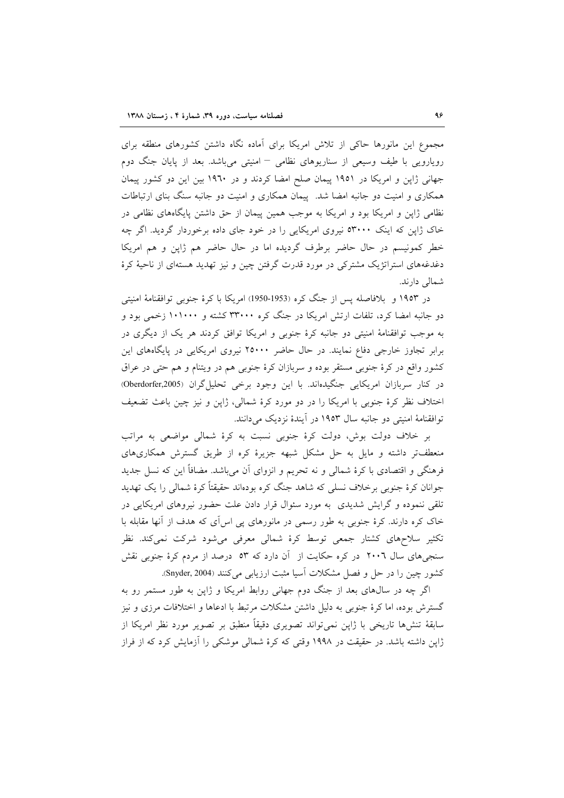مجموع این مانورها حاکی از تلاش امریکا برای آماده نگاه داشتن کشورهای منطقه برای رویارویی با طیف وسیعی از سناریوهای نظامی – امنیتی میباشد. بعد از پایان جنگ دوم جهانی ژاپن و امریکا در ۱۹۵۱ پیمان صلح امضا کردند و در ۱۹٦۰ بین این دو کشور پیمان همکاری و امنیت دو جانبه امضا شد. پیمان همکاری و امنیت دو جانبه سنگ بنای ارتباطات نظامی ژاپن و امریکا بود و امریکا به موجب همین پیمان از حق داشتن پایگاههای نظامی در خاک ژاپن که اینک ٥٣٠٠٠ نیروی امریکایی را در خود جای داده برخوردار گردید. اگر چه خطر كمونيسم در حال حاضر برطرف گرديده اما در حال حاضر هم ژاپن و هم امريكا دغدغههای استراتژیک مشترکی در مورد قدرت گرفتن چین و نیز تهدید هستهای از ناحیهٔ کرهٔ شمالی دارند.

در ۱۹۵۳ و بلافاصله پس از جنگ کره (1953-1950) امریکا با کرهٔ جنوبی توافقنامهٔ امنیتی دو جانبه امضا کرد، تلفات ارتش امریکا در جنگ کره ۳۳۰۰۰ کشته و ۱۰۱۰۰۰ زخمی بود و به موجب توافقنامهٔ امنیتی دو جانبه کرهٔ جنوبی و امریکا توافق کردند هر یک از دیگری در برابر تجاوز خارجی دفاع نمایند. در حال حاضر ۲۵۰۰۰ نیروی امریکایی در پایگاههای این کشور واقع در کرهٔ جنوبی مستقر بوده و سربازان کرهٔ جنوبی هم در ویتنام و هم حتی در عراق در كنار سربازان امريكايي جنگيدهاند. با اين وجود برخي تحليل گران (Oberdorfer,2005) اختلاف نظر کرهٔ جنوبی با امریکا را در دو مورد کرهٔ شمالی، ژاپن و نیز چین باعث تضعیف توافقنامهٔ امنیتی دو جانبه سال ۱۹۵۳ در آیندهٔ نزدیک میدانند.

بر خلاف دولت بوش، دولت کرهٔ جنوبی نسبت به کرهٔ شمالی مواضعی به مراتب منعطفتر داشته و مایل به حل مشکل شبهه جزیرهٔ کره از طریق گسترش همکاریهای فرهنگی و اقتصادی با کرهٔ شمالی و نه تحریم و انزوای آن میباشد. مضافاً این که نسل جدید جوانان کرهٔ جنوبی برخلاف نسلی که شاهد جنگ کره بودهاند حقیقتاً کرهٔ شمالی را یک تهدید تلقی ننموده و گرایش شدیدی به مورد سئوال قرار دادن علت حضور نیروهای امریکایی در خاک کره دارند. کرهٔ جنوبی به طور رسمی در مانورهای پی اس آی که هدف از آنها مقابله با تکثیر سلاحهای کشتار جمعی توسط کرهٔ شمالی معرفی میشود شرکت نمیکند. نظر سنجی های سال ۲۰۰٦ در کره حکایت از آن دارد که ۵۳ درصد از مردم کرهٔ جنوبی نقش كشور چين را در حل و فصل مشكلات آسيا مثبت ارزيابي مي كنند (Snyder, 2004).

اگر چه در سالهای بعد از جنگ دوم جهانی روابط امریکا و ژاپن به طور مستمر رو به گسترش بوده، اما کرهٔ جنوبی به دلیل داشتن مشکلات مرتبط با ادعاها و اختلافات مرزی و نیز سابقهٔ تنشها تاریخی با ژاپن نمیتواند تصویری دقیقاً منطبق بر تصویر مورد نظر امریکا از ژاپن داشته باشد. در حقیقت در ۱۹۹۸ وقتی که کرهٔ شمالی موشکی را آزمایش کرد که از فراز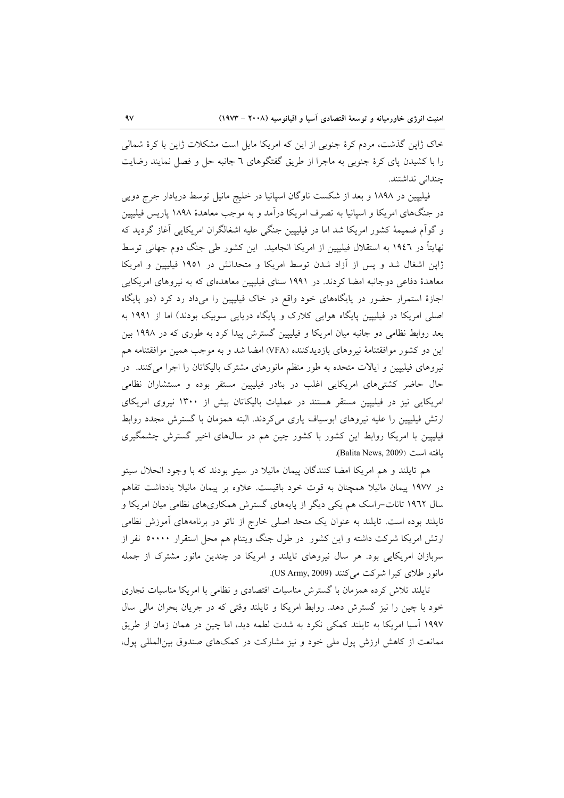خاک ژاپن گذشت، مردم کرهٔ جنوبی از این که امریکا مایل است مشکلات ژاپن با کرهٔ شمالی را با کشیدن پای کرهٔ جنوبی به ماجرا از طریق گفتگوهای ٦ جانبه حل و فصل نمایند رضایت چندانی نداشتند.

فیلیپین در ۱۸۹۸ و بعد از شکست ناوگان اسپانیا در خلیج مانیل توسط دریادار جرج دویی در جنگهای امریکا و اسپانیا به تصرف امریکا درآمد و به موجب معاهدهٔ ۱۸۹۸ پاریس فیلیپین و گواّم ضمیمهٔ کشور امریکا شد اما در فیلیپین جنگی علیه اشغالگران امریکایی آغاز گردید که نهايتاً در ١٩٤٦ به استقلال فيليپين از امريكا انجاميد. اين كشور طي جنگ دوم جهاني توسط ژاپن اشغال شد و پس از آزاد شدن توسط امریکا و متحدانش در ۱۹۵۱ فیلیپین و امریکا معاهدهٔ دفاعی دوجانبه امضا کردند. در ۱۹۹۱ سنای فیلیپین معاهدهای که به نیروهای امریکایی اجازهٔ استمرار حضور در پایگاههای خود واقع در خاک فیلیپین را میداد رد کرد (دو پایگاه اصلی امریکا در فیلیپین پایگاه هوایی کلارک و پایگاه دریایی سوبیک بودند) اما از ۱۹۹۱ به بعد روابط نظامی دو جانبه میان امریکا و فیلیپین گسترش پیدا کرد به طوری که در ۱۹۹۸ بین این دو کشور موافقتنامهٔ نیروهای بازدیدکننده (VFA) امضا شد و به موجب همین موافقتنامه هم نیروهای فیلیپین و ایالات متحده به طور منظم مانورهای مشترک بالیکاتان را اجرا میکنند. در حال حاضر کشتیهای امریکایی اغلب در بنادر فیلیپین مستقر بوده و مستشاران نظامی امریکایی نیز در فیلیپین مستقر هستند در عملیات بالیکاتان بیش از ۱۳۰۰ نیروی امریکای ارتش فیلیپین را علیه نیروهای ابوسیاف یاری میکردند. البته همزمان با گسترش مجدد روابط فیلیپین با امریکا روابط این کشور با کشور چین هم در سال های اخیر گسترش چشمگیری .<br>المفته است (Balita News, 2009).

هم تایلند و هم امریکا امضا کنندگان پیمان مانیلا در سیتو بودند که با وجود انحلال سیتو در ۱۹۷۷ پیمان مانیلا همچنان به قوت خود باقیست. علاوه بر پیمان مانیلا یادداشت تفاهم سال ۱۹٦۲ تانات–راسک هم یکی دیگر از پایههای گسترش همکاریهای نظامی میان امریکا و تایلند بوده است. تایلند به عنوان یک متحد اصلی خارج از ناتو در برنامههای آموزش نظامی ارتش امریکا شرکت داشته و این کشور ً در طول جنگ ویتنام هم محل استقرار ۵۰۰۰۰ نفر از سربازان امریکایی بود. هر سال نیروهای تایلند و امریکا در چندین مانور مشترک از جمله مانور طلای کبرا شرکت می کنند (US Army, 2009).

تایلند تلاش کرده همزمان با گسترش مناسبات اقتصادی و نظامی با امریکا مناسبات تجاری خود با چین را نیز گسترش دهد. روابط امریکا و تایلند وقتی که در جریان بحران مالی سال ١٩٩٧ آسيا امريكا به تايلند كمكي نكرد به شدت لطمه ديد، اما چين در همان زمان از طريق ممانعت از کاهش ارزش پول ملی خود و نیز مشارکت در کمکهای صندوق بین المللی پول،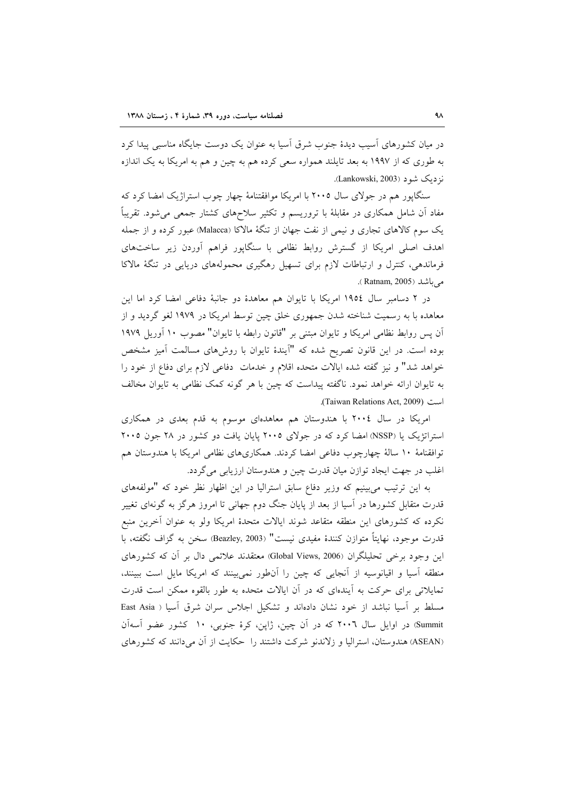در میان کشورهای اَسیب دیدهٔ جنوب شرق اَسیا به عنوان یک دوست جایگاه مناسبی پیدا کرد به طوري كه از ۱۹۹۷ به بعد تايلند همواره سعي كرده هم به چين و هم به امريكا به يك اندازه نز دیک شو د (Lankowski, 2003).

سنگاپور هم در جولای سال ۲۰۰۵ با امریکا موافقتنامهٔ چهار چوب استراژیک امضا کرد که مفاد آن شامل همکاری در مقابلهٔ با تروریسم و تکثیر سلاحهای کشتار جمعی میشود. تقریباً یک سوم کالاهای تجاری و نیمی از نفت جهان از تنگهٔ مالاکا (Malacca) عبور کرده و از جمله اهدف اصلی امریکا از گسترش روابط نظامی با سنگاپور فراهم آوردن زیر ساختهای فرماندهی، کنترل و ارتباطات لازم برای تسهیل رهگیری محمولههای دریایی در تنگهٔ مالاکا مے باشد (Ratnam, 2005).

در ۲ دسامبر سال ۱۹۵٤ امریکا با تایوان هم معاهدهٔ دو جانبهٔ دفاعی امضا کرد اما این معاهده با به رسمیت شناخته شدن جمهوری خلق چین توسط امریکا در ۱۹۷۹ لغو گردید و از آن پس روابط نظامی امریکا و تایوان مبتنی بر "قانون رابطه با تایوان" مصوب ١٠ آوریل ١٩٧٩ بوده است. در این قانون تصریح شده که "آیندهٔ تایوان با روشهای مسالمت آمیز مشخص خواهد شد" و نیز گفته شده ایالات متحده اقلام و خدمات دفاعی لازم برای دفاع از خود را به تایوان ارائه خواهد نمود. ناگفته پیداست که چین با هر گونه کمک نظامی به تایوان مخالف است (Taiwan Relations Act, 2009).

امریکا در سال ۲۰۰٤ با هندوستان هم معاهدهای موسوم به قدم بعدی در همکاری استراتژیک یا (NSSP) امضا کرد که در جولای ۲۰۰۵ پایان یافت دو کشور در ۲۸ جون ۲۰۰۵ توافقنامهٔ ۱۰ سالهٔ چهارچوب دفاعی امضا کردند. همکاریهای نظامی امریکا با هندوستان هم اغلب در جهت ايجاد توازن ميان قدرت چين و هندوستان ارزيابي مي گردد.

به این ترتیب می بینیم که وزیر دفاع سابق استرالیا در این اظهار نظر خود که "مولفههای قدرت متقابل کشورها در آسیا از بعد از پایان جنگ دوم جهانی تا امروز هرگز به گونهای تغییر نكرده كه كشورهاى اين منطقه متقاعد شوند ايالات متحدهٔ امريكا ولو به عنوان أخرين منبع قدرت موجود، نهايتاً متوازن كنندة مفيدي نيست" (Beazley, 2003) سخن به گزاف نگفته، با این وجود برخی تحلیلگران (Global Views, 2006) معتقدند علائمی دال بر آن که کشورهای منطقه آسیا و اقیانوسیه از آنجایی که چین را آنطور نمی بینند که امریکا مایل است ببینند، تمایلاتی برای حرکت به آیندهای که در آن ایالات متحده به طور بالقوه ممکن است قدرت مسلط بر آسیا نباشد از خود نشان دادهاند و تشکیل اجلاس سران شرق آسیا ( East Asia Summit) در اوایل سال ۲۰۰٦ که در آن چین، ژاپن، کرهٔ جنوبی، ۱۰ کشور عضو آسهآن (ASEAN) هندوستان، استرالیا و زلاندنو شرکت داشتند را حکایت از آن می دانند که کشورهای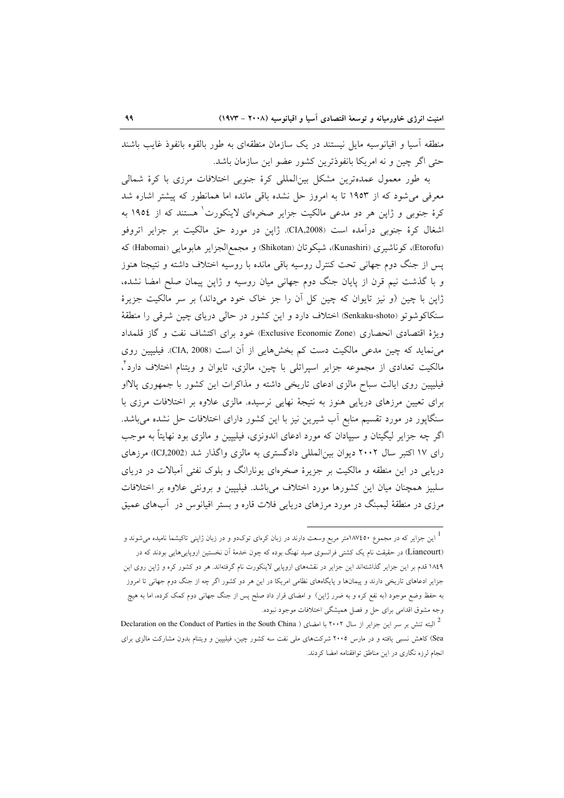منطقه آسیا و اقیانوسیه مایل نیستند در یک سازمان منطقهای به طور بالقوه بانفوذ غایب باشند حتى اگر چين و نه امريكا بانفوذترين كشور عضو اين سازمان باشد.

به طور معمول عمدهترین مشکل بینالمللی کرهٔ جنوبی اختلافات مرزی با کرهٔ شمالی معرفی می شود که از ۱۹۵۳ تا به امروز حل نشده باقی مانده اما همانطور که پیشتر اشاره شد کرهٔ جنوبی و ژاپن هر دو مدعی مالکیت جزایر صخرمای لاینکورت هستند که از ۱۹۵٤ به اشغال کرهٔ جنوبی درآمده است (CIA,2008). ژاپن در مورد حق مالکیت بر جزایر اتروفو (Etorofu)، كوناشيري (Kunashiri)، شيكوتان (Shikotan) و مجمع|لجزاير هابومايي (Habomai) كه یس از جنگ دوم جهانی تحت کنترل روسیه باقی مانده با روسیه اختلاف داشته و نتیجتا هنوز و با گذشت نیم قرن از پایان جنگ دوم جهانی میان روسیه و ژاپن پیمان صلح امضا نشده، ژاپن با چین (و نیز تایوان که چین کل آن را جز خاک خود میداند) بر سر مالکیت جزیرهٔ سنکاکوشوتو (Senkaku-shoto) اختلاف دارد و این کشور در حالی دریای چین شرقی را منطقهٔ ويژة اقتصادي انحصاري (Exclusive Economic Zone) خود براي اكتشاف نفت و گاز قلمداد می نماید که چین مدعی مالکیت دست کم بخشهایی از آن است (CIA, 2008). فیلیپین روی مالکیت تعدادی از مجموعه جزایر اسپراتلی با چین، مالزی، تایوان و ویتنام اختلاف دارد ً، فیلیپین روی ایالت سباح مالزی ادعای تاریخی داشته و مذاکرات این کشور با جمهوری یالااو برای تعیین مرزهای دریایی هنوز به نتیجهٔ نهایی نرسیده. مالزی علاوه بر اختلافات مرزی با سنگاپور در مورد تقسیم منابع آب شیرین نیز با این کشور دارای اختلافات حل نشده میباشد. اگر چه جزایر لیگیتان و سیپادان که مورد ادعای اندونزی، فیلیپین و مالزی بود نهایتاً به موجب رای ۱۷ اکتبر سال ۲۰۰۲ دیوان بین المللی دادگستری به مالزی واگذار شد (ICJ,2002) مرزهای دریایی در این منطقه و مالکیت بر جزیرهٔ صخرهای یونارانگ و بلوک نفتی آمبالات در دریای سلبیز همچنان میان این کشورها مورد اختلاف میباشد. فیلیپین و برونئی علاوه بر اختلافات مرزی در منطقهٔ لیمبنگ در مورد مرزهای دریایی فلات قاره و بستر اقیانوس در آبهای عمیق

این جزایر که در مجموع ۸۷٬٤٥۰متر مربع وسعت دارند در زبان کرهای توکدو و در زبان ژاپنی تاکیشما نامیده میشوند و  $^{-1}$ (Liancourt) در حقیقت نام یک کشتی فرانسوی صید نهنگ بوده که چون خدمهٔ اَن نخستین اروپاییهایی بودند که در ١٨٤٩ قدم بر اين جزاير گذاشتهاند اين جزاير در نقشههاى اروپايي لاينكورت نام گرفتهاند. هر دو كشور كره و ژاپن روى اين جزایر ادعاهای تاریخی دارند و پیمانها و پایگاههای نظامی امریکا در این هر دو کشور اگر چه از جنگ دوم جهانی تا امروز به حفظ وضع موجود (به نفع کره و به ضرر ژاپن) و امضای قرار داد صلح پس از جنگ جهانی دوم کمک کرده، اما به هیچ وجه مشوق اقدامی برای حل و فصل همیشگی اختلافات موجود نبوده.

<sup>&</sup>lt;sup>2</sup> البته تنش بر سر این جزایر از سال ۲۰۰۲ با امضای ( Declaration on the Conduct of Parties in the South China Sea) کاهش نسبی یافته و در مارس ۲۰۰۵ شرکتهای ملی نفت سه کشور چین، فیلیپین و ویتنام بدون مشارکت مالزی برای انجام لرزه نگاری در این مناطق توافقنامه امضا کردند.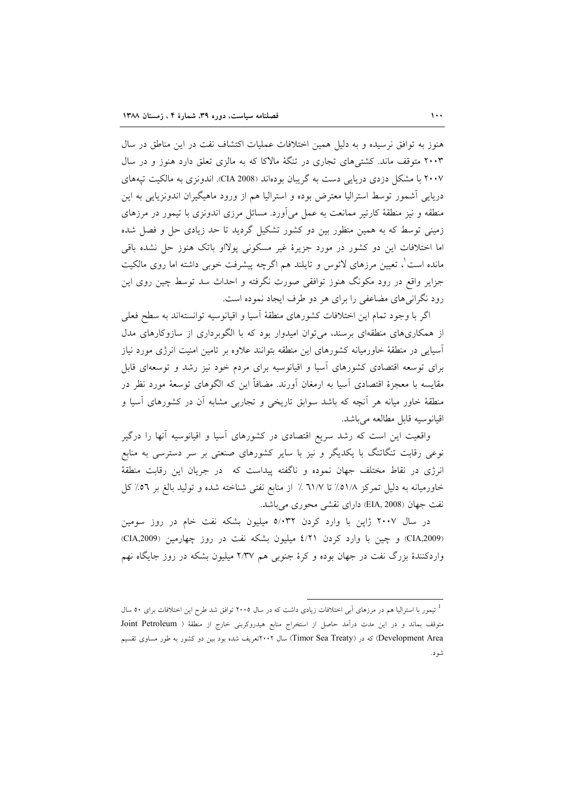هنوز به توافق نرسیده و به دلیل همین اختلافات عملیات اکتشاف نفت در این مناطق در سال ۲۰۰۳ متوقف ماند. کشتم های تجاری در تنگهٔ مالاکا که به مالزی تعلق دارد هنوز و در سال ۲۰۰۷ با مشکل دزدی دریایی دست به گریبان بودهاند (CIA 2008). اندونزی به مالکیت تیههای دریایی آشمور توسط استرالیا معترض بوده و استرالیا هم از ورود ماهیگیران اندونزیایی به این منطقه و نیز منطقهٔ کارتیر ممانعت به عمل میآورد. مسائل مرزی اندونزی با تیمور در مرزهای زمینی توسط که به همین منظور بین دو کشور تشکیل گردید تا حد زیادی حل و فصل شده اما اختلافات این دو کشور در مورد جزیرهٔ غیر مسکونی پولااو باتک هنوز حل نشده باقی مانده است ْ، تعیین مرزهای لائوس و تایلند هم اگرچه پیشرفت خوبی داشته اما روی مالکیت جزایر واقع در رود مکونگ هنوز توافقی صورت نگرفته و احداث سد توسط چین روی این رود نگرانی های مضاعفی را برای هر دو طرف ایجاد نموده است.

اگه با وجود تمام این اختلافات کشورهای منطقهٔ آسیا و اقیانوسیه توانستهاند به سطح فعلی از همکاریهای منطقهای برسند، می توان امیدوار بود که با الگوبرداری از سازوکارهای مدل آسیایی در منطقهٔ خاورمیانه کشورهای این منطقه بتوانند علاوه بر تامین امنیت انرژی مورد نیاز برای توسعه اقتصادی کشورهای آسیا و اقیانوسیه برای مردم خود نیز رشد و توسعهای قابل مقایسه با معجزهٔ اقتصادی آسیا به ارمغان آورند. مضافاً این که الگوهای توسعهٔ مورد نظر در منطقهٔ خاور میانه هر آنچه که باشد سوابق تاریخی و تجاربی مشابه آن در کشورهای آسیا و اقيانوسيه قابل مطالعه مي باشد.

واقعیت این است که رشد سریع اقتصادی در کشورهای آسیا و اقیانوسیه آنها را درگیر نوعی رقابت تنگاتنگ با یکدیگر و نیز با سایر کشورهای صنعتی بر سر دسترسی به منابع انرژی در نقاط مختلف جهان نموده و ناگفته پیداست که در جریان این رقابت منطقهٔ خاورمیانه به دلیل تمرکز ٥١/٨٪ تا ٦١/٧٪ از منابع نفتی شناخته شده و تولید بالغ بر ٥٦٪ کل نفت جهان (EIA, 2008) داراي نقشي محوري مي باشد.

در سال ۲۰۰۷ ژاپن با وارد کردن ۵/۰۳۲ میلیون بشکه نفت خام در روز سومین (CIA,2009) و چین با وارد کردن ٤/٢١ میلیون بشکه نفت در روز چهارمین (CIA,2009) واردکنندهٔ بزرگ نفت در جهان بوده و کرهٔ جنوبی هم ۲/۳۷ میلیون بشکه در روز جایگاه نهم

<sup>&</sup>lt;sup>1</sup> تیمور با استرالیا هم در مرزهای آبی اختلافات زیادی داشت که در سال ۲۰۰۵ توافق شد طرح این اختلافات برای ۵۰ سال متوقف بماند و در این مدت درآمد حاصل از استخراج منابع هیدروکربنی خارج از منطقهٔ ( Joint Petroleum Development Area) که در (Timor Sea Treaty) سال ۲۰۰۲تعریف شده بود بین دو کشور به طور مساوی تقسیم شود.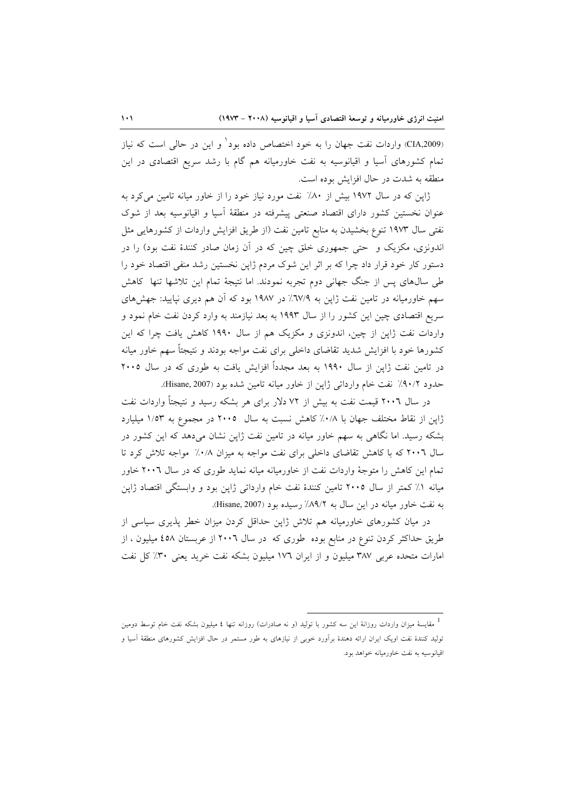(CIA,2009) واردات نفت جهان را به خود اختصاص داده بود' و این در حالی است که نیاز تمام کشورهای اَسیا و اقیانوسیه به نفت خاورمیانه هم گام با رشد سریع اقتصادی در این منطقه به شدت در حال افزایش بوده است.

ژاپن که در سال ۱۹۷۲ بیش از ۸۰٪ نفت مورد نیاز خود را از خاور میانه تامین می کرد به عنوان نخستین کشور دارای اقتصاد صنعتی پیشرفته در منطقهٔ آسیا و اقیانوسیه بعد از شوک نفتی سال ۱۹۷۳ تنوع بخشیدن به منابع تامین نفت (از طریق افزایش واردات از کشورهایی مثل اندونزی، مکزیک و حتی جمهوری خلق چین که در آن زمان صادر کنندهٔ نفت بود) را در دستور کار خود قرار داد چرا که بر اثر این شوک مردم ژاپن نخستین رشد منفی اقتصاد خود را طی سالهای پس از جنگ جهانی دوم تجربه نمودند. اما نتیجهٔ تمام این تلاشها تنها کاهش سهم خاورمیانه در تامین نفت ژاپن به ٦٧/٩٪ در ١٩٨٧ بود که آن هم دیری نیایید: جهشهای سریع اقتصادی چین این کشور را از سال ۱۹۹۳ به بعد نیازمند به وارد کردن نفت خام نمود و واردات نفت ژاپن از چین، اندونزی و مکزیک هم از سال ۱۹۹۰ کاهش یافت چرا که این کشورها خود با افزایش شدید تقاضای داخلی برای نفت مواجه بودند و نتیجتاً سهم خاور میانه در تامین نفت ژاپن از سال ۱۹۹۰ به بعد مجدداً افزایش یافت به طوری که در سال ۲۰۰۵ حدود ٩٠/٢٪ نفت خام وارداتي ژاپن از خاور ميانه تامين شده بود (Hisane, 2007).

در سال ۲۰۰٦ قیمت نفت به بیش از ۷۲ دلار برای هر بشکه رسید و نتیجتاً واردات نفت ژاپن از نقاط مختلف جهان با ۰/۸٪ کاهش نسبت به سال ۲۰۰۵ در مجموع به ۱/۵۳ میلیارد بشکه رسید. اما نگاهی به سهم خاور میانه در تامین نفت ژاپن نشان میدهد که این کشور در سال ۲۰۰٦ که با کاهش تقاضای داخلی برای نفت مواجه به میزان ۰/۸٪ مواجه تلاش کرد تا تمام این کاهش را متوجهٔ واردات نفت از خاورمیانه میانه نماید طوری که در سال ۲۰۰٦ خاور میانه ١٪ کمتر از سال ٢٠٠٥ تامین کنندهٔ نفت خام وارداتی ژاپن بود و وابستگی اقتصاد ژاپن به نفت خاور میانه در این سال به ۸۹/۲٪ رسیده بود (Hisane, 2007).

در میان کشورهای خاورمیانه هم تلاش ژاپن حداقل کردن میزان خطر پذیری سیاسی از طریق حداکثر کردن تنوع در منابع بوده طوری که در سال ۲۰۰٦ از عربستان ٤٥٨ میلیون ، از امارات متحده عربي ٣٨٧ ميليون و از ايران ١٧٦ ميليون بشكه نفت خريد يعني ٣٠٪ كل نفت

مقایسهٔ میزان واردات روزانهٔ این سه کشور با تولید (و نه صادرات) روزانه تنها ٤ میلیون بشکه نفت خام توسط دومین  $^1$ تولید کنندهٔ نفت اوپک ایران ارائه دهندهٔ برآورد خوبی از نیازهای به طور مستمر در حال افزایش کشورهای منطقهٔ آسیا و اقیانوسیه به نفت خاورمیانه خواهد بود.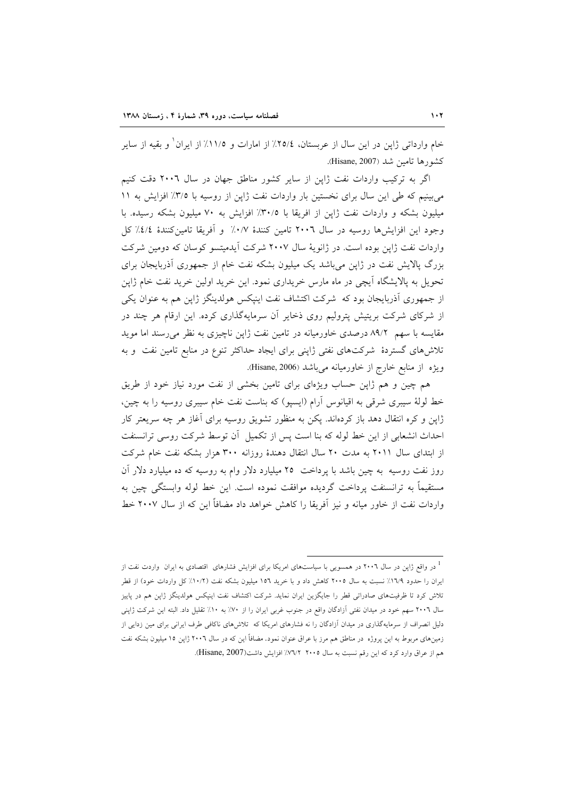خام وارداتی ژاپن در این سال از عربستان، ٢٥/٤٪ از امارات و ١١/٥٪ از ایران ْ و بقیه از سایر كشورها تامين شد (Hisane, 2007).

اگر به ترکیب واردات نفت ژاپن از سایر کشور مناطق جهان در سال ۲۰۰٦ دقت کنیم می بینیم که طی این سال برای نخستین بار واردات نفت ژاپن از روسیه با ۳/۵٪ افزایش به ۱۱ میلیون بشکه و واردات نفت ژاپن از افریقا با ۳۰/۵٪ افزایش به ۷۰ میلیون بشکه رسیده. با وجود این افزایشها روسیه در سال ۲۰۰٦ تامین کنندهٔ ۰/۷٪ و اَفریقا تامین کنندهٔ ٤/٤٪ کل واردات نفت ژاپن بوده است. در ژانویهٔ سال ۲۰۰۷ شرکت آیدمیتسو کوسان که دومین شرکت بزرگ پالایش نفت در ژاپن می باشد یک میلیون بشکه نفت خام از جمهوری آذربایجان برای تحویل به پالایشگاه آیچی در ماه مارس خریداری نمود. این خرید اولین خرید نفت خام ژاپن از جمهوری آذربایجان بود که شرکت اکتشاف نفت اینیکس هولدینگز ژاپن هم به عنوان یکی از شرکای شرکت بریتیش پترولیم روی ذخایر آن سرمایهگذاری کرده. این ارقام هر چند در مقایسه با سهم ۸۹/۲ درصدی خاورمیانه در تامین نفت ژاپن ناچیزی به نظر میرسند اما موید تلاشهای گستردهٔ شرکتهای نفتی ژاپنی برای ایجاد حداکثر تنوع در منابع تامین نفت و به ويژه از منابع خارج از خاورميانه مي باشد (Hisane, 2006).

هم چین و هم ژاپن حساب ویژهای برای تامین بخشی از نفت مورد نیاز خود از طریق خط لولهٔ سیبری شرقی به اقیانوس آرام (ایسیو) که بناست نفت خام سیبری روسیه را به چین، ژاپن و کره انتقال دهد باز کردهاند. پکن به منظور تشویق روسیه برای آغاز هر چه سریعتر کار احداث انشعابی از این خط لوله که بنا است پس از تکمیل آن توسط شرکت روسی ترانسنفت از ابتدای سال ۲۰۱۱ به مدت ۲۰ سال انتقال دهندهٔ روزانه ۳۰۰ هزار بشکه نفت خام شرکت روز نفت روسیه به چین باشد با پرداخت ۲۵ میلیارد دلار وام به روسیه که ده میلیارد دلار آن مستقيماً به ترانسنفت پرداخت گرديده موافقت نموده است. اين خط لوله وابستگي چين به واردات نفت از خاور میانه و نیز آفریقا را کاهش خواهد داد مضافاً این که از سال ۲۰۰۷ خط

در واقع ژاپن در سال ۲۰۰٦ در همسویی با سیاستهای امریکا برای افزایش فشارهای اقتصادی به ایران واردت نفت از " ایران را حدود ۱۷۹٪ نسبت به سال ۲۰۰۵ کاهش داد و با خرید ۱۵۲ میلیون بشکه نفت (۱۰/۲٪ کل واردات خود) از قطر .<br>تلاش کرد تا ظرفیتهای صادرات<sub>ی</sub> قطر را جایگزین ایران نماید. شرکت اکتشاف نفت اینپکس هولدینگز ژاپن هم در پاییز سال ۲۰۰٦ سهم خود در میدان نفتی آزادگان واقع در جنوب غربی ایران را از ۷۰٪ به ۱۰٪ تقلیل داد. البته این شرکت ژاپنی دلیل انصراف از سرمایهگذاری در میدان آزادگان را نه فشارهای امریکا که تلاشرهای ناکافی طرف ایرانی برای مین زدایی از زمینهای مربوط به این پروژه در مناطق هم مرز با عراق عنوان نمود. مضافاً این که در سال ۲۰۰٦ ژاپن ۱۵ میلیون بشکه نفت هم از عراق وارد كرد كه اين رقم نسبت به سال ٢٠٠٥ ٧٧/٢٪ افزايش داشت(Hisane, 2007).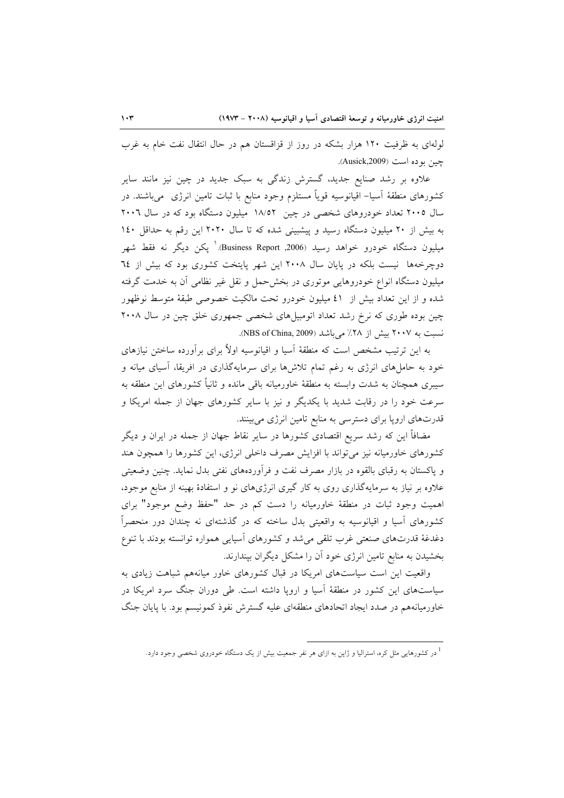لولهای به ظرفیت ۱۲۰ هزار بشکه در روز از قزاقستان هم در حال انتقال نفت خام به غرب چين بو ده است (Ausick,2009).

علاوه بر رشد صنایع جدید، گسترش زندگی به سبک جدید در چین نیز مانند سایر کشورهای منطقهٔ آسیا– اقیانوسیه قویاً مستلزم وجود منابع با ثبات تامین انرژی ً میباشند. در سال ۲۰۰۵ تعداد خودروهای شخصی در چین ۱۸/۵۲ میلیون دستگاه بود که در سال ۲۰۰٦ به بیش از ۲۰ میلیون دستگاه رسید و پیشبینی شده که تا سال ۲۰۲۰ این رقم به حداقل ۱٤۰ میلیون دستگاه خودرو خواهد رسید Business Report ,2006).' یکن دیگر نه فقط شهر دوچرخهها نیست بلکه در پایان سال ۲۰۰۸ این شهر پایتخت کشوری بود که بیش از ۲٤ میلیون دستگاه انواع خودروهایی موتوری در بخشحمل و نقل غیر نظامی آن به خدمت گرفته شده و از این تعداد بیش از ٤١ میلیون خودرو تحت مالکیت خصوصی طبقهٔ متوسط نوظهور چین بوده طوری که نرخ رشد تعداد اتومبیل های شخصی جمهوری خلق چین در سال ۲۰۰۸ نسبت به ۲۰۰۷ بیش از ۲۸٪ میباشد (NBS of China, 2009).

به این ترتیب مشخص است که منطقهٔ آسیا و اقیانوسیه اولاً برای برآورده ساختن نیازهای خود به حاملهای انرژی به رغم تمام تلاشها برای سرمایهگذاری در افریقا، آسیای میانه و سیبری همچنان به شدت وابسته به منطقهٔ خاورمیانه باقی مانده و ثانیاً کشورهای این منطقه به سرعت خود را در رقابت شدید با یکدیگر و نیز با سایر کشورهای جهان از جمله امریکا و قدرتهای اروپا برای دسترسی به منابع تامین انرژی میبینند.

مضافاً این که رشد سریع اقتصادی کشورها در سایر نقاط جهان از جمله در ایران و دیگر کشورهای خاورمیانه نیز می تواند با افزایش مصرف داخلی انرژی، این کشورها را همچون هند و پاکستان به رقبای بالقوه در بازار مصرف نفت و فرآوردههای نفتی بدل نماید. چنین وضعیتی علاوه بر نیاز به سرمایهگذاری روی به کار گیری انرژیهای نو و استفادهٔ بهینه از منابع موجود، اهمیت وجود ثبات در منطقهٔ خاورمیانه را دست کم در حد "حفظ وضع موجود" برای کشورهای اَسیا و اقیانوسیه به واقعیتی بدل ساخته که در گذشتهای نه چندان دور منحصراً دغدغهٔ قدرتهای صنعتی غرب تلقی می شد و کشورهای آسیایی همواره توانسته بودند با تنوع بخشیدن به منابع تامین انرژی خود آن را مشکل دیگران بیندارند.

واقعیت این است سیاستهای امریکا در قبال کشورهای خاور میانههم شباهت زیادی به سیاستهای این کشور در منطقهٔ آسیا و اروپا داشته است. طی دوران جنگ سرد امریکا در خاورمیانههم در صدد ایجاد اتحادهای منطقهای علیه گسترش نفوذ کمونیسم بود. با پایان جنگ

<sup>&</sup>lt;sup>1</sup> در کشورهایی مثل کره، استرالیا و ژاپن به ازای هر نفر جمعیت بیش از یک دستگاه خودروی شخصی وجود دارد.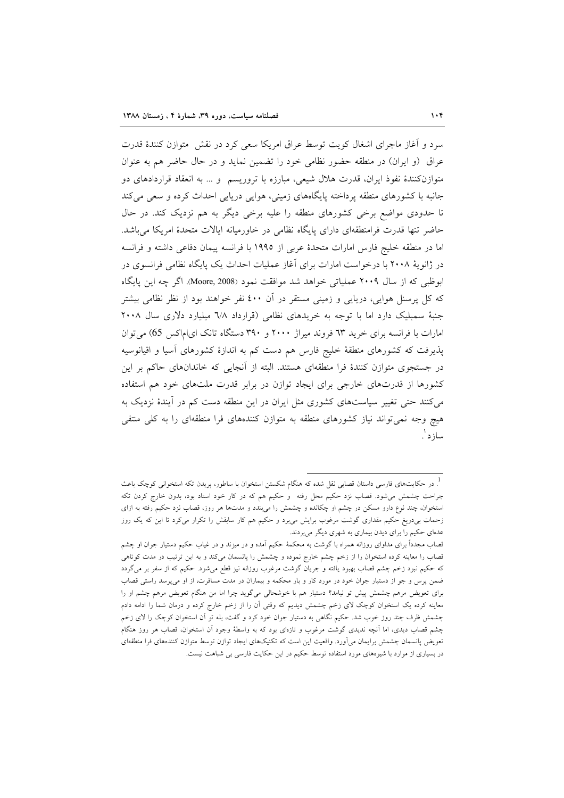سرد و آغاز ماجرای اشغال کویت توسط عراق امریکا سعی کرد در نقش ٍ متوازن کنندهٔ قدرت عراق (و ایران) در منطقه حضور نظامی خود را تضمین نماید و در حال حاضر هم به عنوان متوازنکنندهٔ نفوذ ایران، قدرت هلال شیعی، مبارزه با تروریسم ً و … به انعقاد قراردادهای دو جانبه با کشورهای منطقه پرداخته پایگاههای زمینی، هوایی دریایی احداث کرده و سعی می کند تا حدودی مواضع برخی کشورهای منطقه را علیه برخی دیگر به هم نزدیک کند. در حال حاضر تنها قدرت فرامنطقهای دارای پایگاه نظامی در خاورمیانه ایالات متحدهٔ امریکا میباشد. اما در منطقه خليج فارس امارات متحدهٔ عربي از ١٩٩٥ با فرانسه پيمان دفاعي داشته و فرانسه در ژانویهٔ ۲۰۰۸ با درخواست امارات برای آغاز عملیات احداث یک پایگاه نظامی فرانسوی در ابوظبی که از سال ۲۰۰۹ عملیاتی خواهد شد موافقت نمود (Moore, 2008). اگر چه این پایگاه که کل پرسنل هوایی، دریایی و زمینی مستقر در آن ٤٠٠ نفر خواهند بود از نظر نظامی بیشتر جنبهٔ سمبلیک دارد اما با توجه به خریدهای نظامی (قرارداد ٦/٨ میلیارد دلاری سال ٢٠٠٨ امارات با فرانسه برای خرید ٦٣ فروند میراژ ٢٠٠٠ و ٣٩٠ دستگاه تانک ای|ماکس 65) می توان پذیرفت که کشورهای منطقهٔ خلیج فارس هم دست کم به اندازهٔ کشورهای آسیا و اقیانوسیه در جستجوی متوازن کنندهٔ فرا منطقهای هستند. البته از آنجایی که خاندانهای حاکم بر این کشورها از قدرتهای خارجی برای ایجاد توازن در برابر قدرت ملتهای خود هم استفاده می کنند حتی تغییر سیاستهای کشوری مثل ایران در این منطقه دست کم در آیندهٔ نزدیک به هیچ وجه نمیتواند نیاز کشورهای منطقه به متوازن کنندههای فرا منطقهای را به کلی منتفی ساز د ْ.

<sup>.&</sup>lt;br>در حکایتهای فارسی داستان قصابی نقل شده که هنگام شکستن استخوان با ساطور، پریدن تکه استخوانی کوچک باعث . جراحت چشمش می شود. قصاب نزد حکیم محل رفته ً و حکیم هم که در کار خود استاد بود، بدون خارج کردن تکه استخوان، چند نوع دارو مسکن در چشم او چکانده و چشمش را میبندد و مدتها هر روز، قصاب نزد حکیم رفته به ازای زحمات بی٫دریغ حکیم مقداری گوشت مرغوب برایش می٫برد و حکیم هم کار سابقش را تکرار میکرد تا این که یک روز عدهای حکیم را برای دیدن بیماری به شهری دیگر میبردند.

قصاب مجدداً برای مداوای روزانه همراه با گوشت به محکمهٔ حکیم آمده و در میزند و در غیاب حکیم دستیار جوان او چشم قصاب را معاینه کرده استخوان را از زخم چشم خارج نموده و چشمش را پانسمان میکند و به این ترتیب در مدت کوتاهی که حکیم نبود زخم چشم قصاب بهبود یافته و جریان گوشت مرغوب روزانه نیز قطع میشود. حکیم که از سفر بر میگردد ضمن پرس و جو از دستیار جوان خود در مورد کار و بار محکمه و بیماران در مدت مسافرت، از او میپرسد راستی قصاب برای تعویض مرهم چشمش پیش تو نیامد؟ دستیار هم با خوشحالی میگوید چرا اما من هنگام تعویض مرهم چشم او را معاینه کرده یک استخوان کوچک لای زخم چشمش دیدیم که وقتی آن را از زخم خارج کرده و درمان شما را ادامه دادم چشمش ظرف چند روز خوب شد. حکیم نگاهی به دستیار جوان خود کرد و گفت، بله تو اَن استخوان کوچک را لای زخم چشم قصاب دیدی، اما اَنچه ندیدی گوشت مرغوب و تازهای بود که به واسطهٔ وجود اَن استخوان، قصاب هر روز هنگام تعویض پانسمان چشمش برایمان میآورد. واقعیت این است که تکنیکهای ایجاد توازن توسط متوازن کنندههای فرا منطقهای در بسیاری از موارد با شیوههای مورد استفاده توسط حکیم در این حکایت فارسی بی شباهت نیست.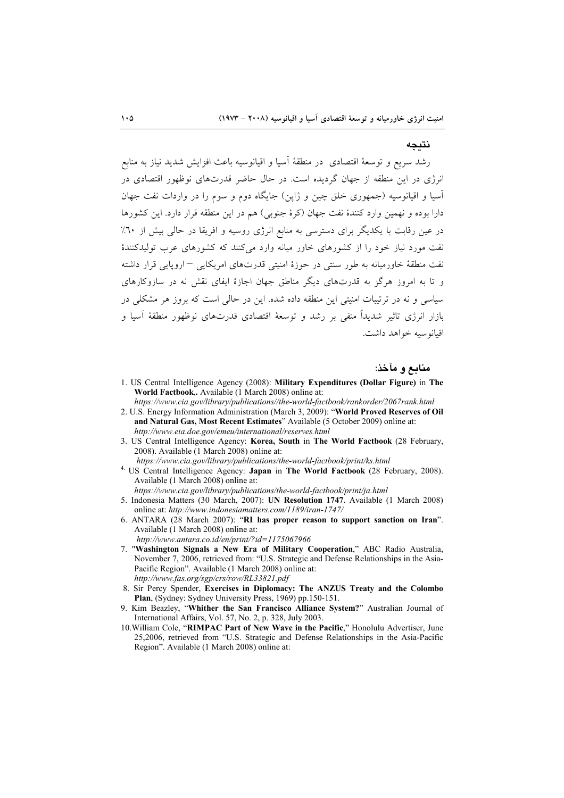# نتيجه

رشد سریع و توسعهٔ اقتصادی ً در منطقهٔ اسیا و اقیانوسیه باعث افزایش شدید نیاز به منابع انرژی در این منطقه از جهان گردیده است. در حال حاضر قدرتهای نوظهور اقتصادی در آسیا و اقیانوسیه (جمهوری خلق چین و ژاپن) جایگاه دوم و سوم را در واردات نفت جهان دارا بوده و نهمین وارد کنندهٔ نفت جهان (کرهٔ جنوبی) هم در این منطقه قرار دارد. این کشورها در عین رقابت با یکدیگر برای دسترسی به منابع انرژی روسیه و افریقا در حالی بیش از ۲۰٪ نفت مورد نیاز خود را از کشورهای خاور میانه وارد میکنند که کشورهای عرب تولیدکنندهٔ نفت منطقهٔ خاورمیانه به طور سنتی در حوزهٔ امنیتی قدرتهای امریکایی <sup>—</sup> اروپایی قرار داشته و تا به امروز هرگز به قدرتهای دیگر مناطق جهان اجازهٔ ایفای نقش نه در سازوکارهای سیاسی و نه در ترتیبات امنیتی این منطقه داده شده. این در حالی است که بروز هر مشکلی در بازار انرژی تاثیر شدیدا منفی بر رشد و توسعهٔ اقتصادی قدرتهای نوظهور منطقهٔ اسیا و اقيانوسيه خواهد داشت.

## منابع و مآخذ:

- 1. US Central Intelligence Agency (2008): **Military Expenditures (Dollar Figure)** in **The World Factbook**,**.** Available (1 March 2008) online at:
- *https://www.cia.gov/library/publications//the-world-factbook/rankorder/2067rank.html* 2. U.S. Energy Information Administration (March 3, 2009): "**World Proved Reserves of Oil**
- **and Natural Gas, Most Recent Estimates**" Available (5 October 2009) online at: *http://www.eia.doe.gov/emeu/international/reserves.html*
- 3. US Central Intelligence Agency: **Korea, South** in **The World Factbook** (28 February, 2008). Available (1 March 2008) online at:
	-
- *https://www.cia.gov/library/publications/the-world-factbook/print/ks.html* 4. US Central Intelligence Agency: **Japan** in **The World Factbook** (28 February, 2008). Available (1 March 2008) online at:
	- *https://www.cia.gov/library/publications/the-world-factbook/print/ja.html*
- 5. Indonesia Matters (30 March, 2007): **UN Resolution 1747**. Available (1 March 2008) online at: *http://www.indonesiamatters.com/1189/iran-1747/*
- 6. ANTARA (28 March 2007): "**RI has proper reason to support sanction on Iran**". Available (1 March 2008) online at:
	- *http://www.antara.co.id/en/print/?id=1175067966*
- 7. "**Washington Signals a New Era of Military Cooperation**," ABC Radio Australia, November 7, 2006, retrieved from: "U.S. Strategic and Defense Relationships in the Asia-Pacific Region". Available (1 March 2008) online at: *http://www.fas.org/sgp/crs/row/RL33821.pdf*
- 8. Sir Percy Spender, **Exercises in Diplomacy: The ANZUS Treaty and the Colombo Plan**, (Sydney: Sydney University Press, 1969) pp.150-151.
- 9. Kim Beazley, "**Whither the San Francisco Alliance System?**" Australian Journal of International Affairs, Vol. 57, No. 2, p. 328, July 2003.
- 10.William Cole, "**RIMPAC Part of New Wave in the Pacific**," Honolulu Advertiser, June 25,2006, retrieved from "U.S. Strategic and Defense Relationships in the Asia-Pacific Region". Available (1 March 2008) online at: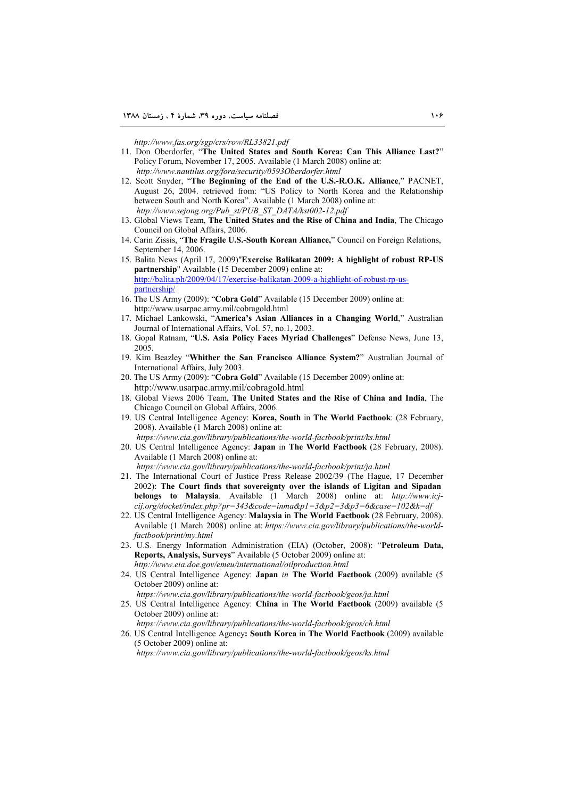*http://www.fas.org/sgp/crs/row/RL33821.pdf* 

- 11. Don Oberdorfer, "**The United States and South Korea: Can This Alliance Last?**" Policy Forum, November 17, 2005. Available (1 March 2008) online at:  *http://www.nautilus.org/fora/security/0593Oberdorfer.html*
- 12. Scott Snyder, "**The Beginning of the End of the U.S.-R.O.K. Alliance**," PACNET, August 26, 2004. retrieved from: "US Policy to North Korea and the Relationship between South and North Korea". Available (1 March 2008) online at:  *http://www.sejong.org/Pub\_st/PUB\_ST\_DATA/kst002-12.pdf*
- 13. Global Views Team, **The United States and the Rise of China and India**, The Chicago Council on Global Affairs, 2006.
- 14. Carin Zissis, "**The Fragile U.S.-South Korean Alliance,**" Council on Foreign Relations, September 14, 2006.
- 15. Balita News (April 17, 2009)"**Exercise Balikatan 2009: A highlight of robust RP-US partnership**" Available (15 December 2009) online at: http://balita.ph/2009/04/17/exercise-balikatan-2009-a-highlight-of-robust-rp-uspartnership/
- 16. The US Army (2009): "**Cobra Gold**" Available (15 December 2009) online at: http://www.usarpac.army.mil/cobragold.html
- 17. Michael Lankowski, "**America's Asian Alliances in a Changing World**," Australian Journal of International Affairs, Vol. 57, no.1, 2003.
- 18. Gopal Ratnam, "**U.S. Asia Policy Faces Myriad Challenges**" Defense News, June 13, 2005.
- 19. Kim Beazley "**Whither the San Francisco Alliance System?**" Australian Journal of International Affairs, July 2003.
- 20. The US Army (2009): "**Cobra Gold**" Available (15 December 2009) online at: http://www.usarpac.army.mil/cobragold.html
- 18. Global Views 2006 Team, **The United States and the Rise of China and India**, The Chicago Council on Global Affairs, 2006.
- 19. US Central Intelligence Agency: **Korea, South** in **The World Factbook**: (28 February, 2008). Available (1 March 2008) online at:
	- *https://www.cia.gov/library/publications/the-world-factbook/print/ks.html*
- 20. US Central Intelligence Agency: **Japan** in **The World Factbook** (28 February, 2008). Available (1 March 2008) online at:

*https://www.cia.gov/library/publications/the-world-factbook/print/ja.html*

- 21. The International Court of Justice Press Release 2002/39 (The Hague, 17 December 2002): **The Court finds that sovereignty over the islands of Ligitan and Sipadan belongs to Malaysia**. Available (1 March 2008) online at: *http://www.icjcij.org/docket/index.php?pr=343&code=inma&p1=3&p2=3&p3=6&case=102&k=df*
- 22. US Central Intelligence Agency: **Malaysia** in **The World Factbook** (28 February, 2008). Available (1 March 2008) online at: *https://www.cia.gov/library/publications/the-worldfactbook/print/my.html*
- 23. U.S. Energy Information Administration (EIA) (October, 2008): "**Petroleum Data, Reports, Analysis, Surveys**" Available (5 October 2009) online at: *http://www.eia.doe.gov/emeu/international/oilproduction.html*
- 24. US Central Intelligence Agency: **Japan** *in* **The World Factbook** (2009) available (5 October 2009) online at:
- *https://www.cia.gov/library/publications/the-world-factbook/geos/ja.html*
- 25. US Central Intelligence Agency: **China** in **The World Factbook** (2009) available (5 October 2009) online at:

*https://www.cia.gov/library/publications/the-world-factbook/geos/ch.html*

26. US Central Intelligence Agency**: South Korea** in **The World Factbook** (2009) available (5 October 2009) online at:

*https://www.cia.gov/library/publications/the-world-factbook/geos/ks.html*